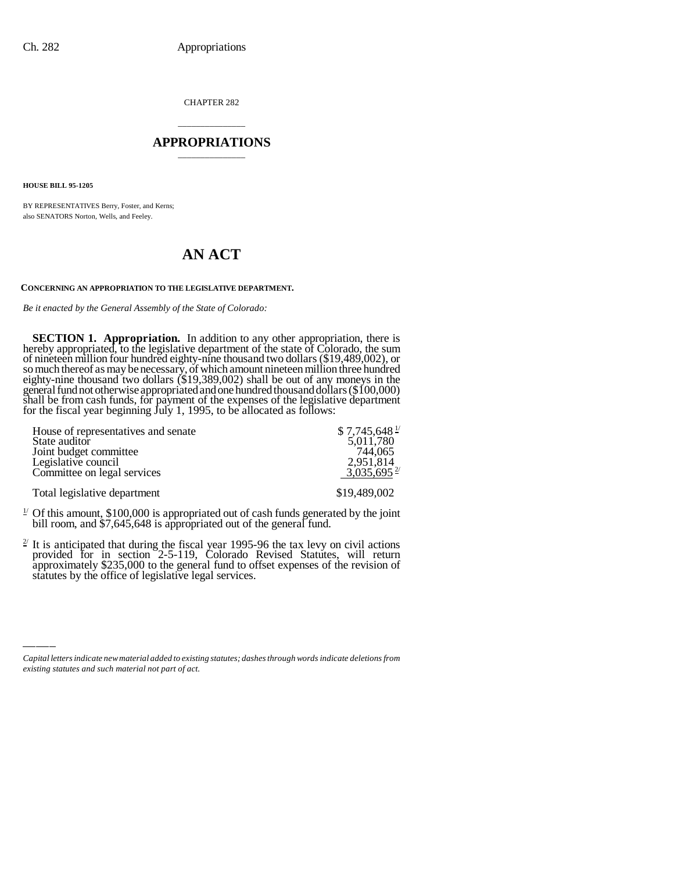CHAPTER 282

## \_\_\_\_\_\_\_\_\_\_\_\_\_\_\_ **APPROPRIATIONS** \_\_\_\_\_\_\_\_\_\_\_\_\_\_\_

**HOUSE BILL 95-1205**

BY REPRESENTATIVES Berry, Foster, and Kerns; also SENATORS Norton, Wells, and Feeley.

## **AN ACT**

## **CONCERNING AN APPROPRIATION TO THE LEGISLATIVE DEPARTMENT.**

*Be it enacted by the General Assembly of the State of Colorado:*

**SECTION 1. Appropriation.** In addition to any other appropriation, there is hereby appropriated, to the legislative department of the state of Colorado, the sum of nineteen million four hundred eighty-nine thousand two dollars (\$19,489,002), or so much thereof as may be necessary, of which amount nineteen million three hundred eighty-nine thousand two dollars (\$19,389,002) shall be out of any moneys in the general fund not otherwise appropriated and one hundred thousand dollars (\$100,000) shall be from cash funds, for payment of the expenses of the legislative department for the fiscal year beginning July 1, 1995, to be allocated as follows:

| House of representatives and senate | $$7,745,648$ <sup>1/</sup> |
|-------------------------------------|----------------------------|
| State auditor                       | 5,011,780                  |
| Joint budget committee              | 744.065                    |
| Legislative council                 | 2,951,814                  |
| Committee on legal services         | $3,035,695$ <sup>2/</sup>  |
| Total legislative department        | \$19,489,002               |

- <sup>1/</sup> Of this amount, \$100,000 is appropriated out of cash funds generated by the joint bill room, and \$7,645,648 is appropriated out of the general fund.
- $\frac{1}{2}$  $2^{2}$  It is anticipated that during the fiscal year 1995-96 the tax levy on civil actions provided for in section 2-5-119, Colorado Revised Statutes, will return approximately \$235,000 to the general fund to offset expenses of the revision of statutes by the office of legislative legal services.

*Capital letters indicate new material added to existing statutes; dashes through words indicate deletions from existing statutes and such material not part of act.*